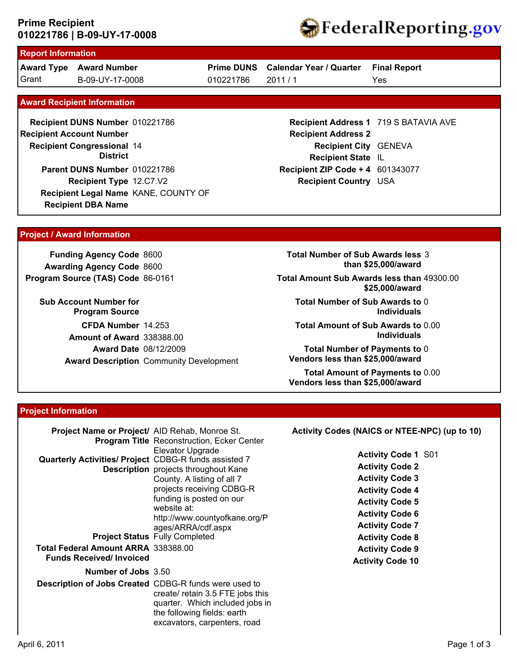## **010221786 | B-09-UY-17-0008 Prime Recipient**



# **Report Information**

**Award Type Award Number** Grant B-09-UY-17-0008 010221786 2011 / 1

**Prime DUNS Calendar Year / Quarter** 010221786

Yes **Final Report**

#### **Award Recipient Information**

**Recipient DBA Name Recipient DUNS Number** 010221786 **Recipient Congressional 14 Recipient Account Number District Recipient Type** 12.C7.V2 **Parent DUNS Number** 010221786 **Recipient Legal Name** KANE, COUNTY OF

### **Recipient Address 1** 719 S BATAVIA AVE **Recipient Address 2 Recipient City** GENEVA **Recipient State** IL **Recipient ZIP Code + 4** 601343077 **Recipient Country** USA

#### **Project / Award Information**

**Funding Agency Code** 8600 **Awarding Agency Code** 8600 **Program Source (TAS) Code** 86-0161

**Sub Account Number for Program Source CFDA Number** 14.253 **Award Date** 08/12/2009 **Award Description** Community Development **Amount of Award** 338388.00

**Total Number of Sub Awards less** 3 **than \$25,000/award**

**Total Amount Sub Awards less than** 49300.00 **\$25,000/award**

**Total Number of Sub Awards to** 0 **Individuals**

**Total Amount of Sub Awards to** 0.00 **Individuals**

**Total Number of Payments to** 0 **Vendors less than \$25,000/award**

**Total Amount of Payments to** 0.00 **Vendors less than \$25,000/award**

#### **Project Information**

| Project Name or Project/ AID Rehab, Monroe St.<br><b>Program Title Reconstruction, Ecker Center</b>                                                                                                                                                                                                                                                                   | Activity Codes (NAICS or NTEE-NPC) (up to 10)                                                                                                                                                                                              |
|-----------------------------------------------------------------------------------------------------------------------------------------------------------------------------------------------------------------------------------------------------------------------------------------------------------------------------------------------------------------------|--------------------------------------------------------------------------------------------------------------------------------------------------------------------------------------------------------------------------------------------|
| Elevator Upgrade<br>Quarterly Activities/ Project CDBG-R funds assisted 7<br><b>Description</b> projects throughout Kane<br>County. A listing of all 7<br>projects receiving CDBG-R<br>funding is posted on our<br>website at:<br>http://www.countyofkane.org/P<br>ages/ARRA/cdf.aspx<br><b>Project Status Fully Completed</b><br>Total Federal Amount ARRA 338388.00 | <b>Activity Code 1 S01</b><br><b>Activity Code 2</b><br><b>Activity Code 3</b><br><b>Activity Code 4</b><br><b>Activity Code 5</b><br><b>Activity Code 6</b><br><b>Activity Code 7</b><br><b>Activity Code 8</b><br><b>Activity Code 9</b> |
| <b>Funds Received/Invoiced</b>                                                                                                                                                                                                                                                                                                                                        | <b>Activity Code 10</b>                                                                                                                                                                                                                    |
| Number of Jobs 3.50                                                                                                                                                                                                                                                                                                                                                   |                                                                                                                                                                                                                                            |
| <b>Description of Jobs Created CDBG-R funds were used to</b><br>create/ retain 3.5 FTE jobs this<br>quarter. Which included jobs in<br>the following fields: earth<br>excavators, carpenters, road                                                                                                                                                                    |                                                                                                                                                                                                                                            |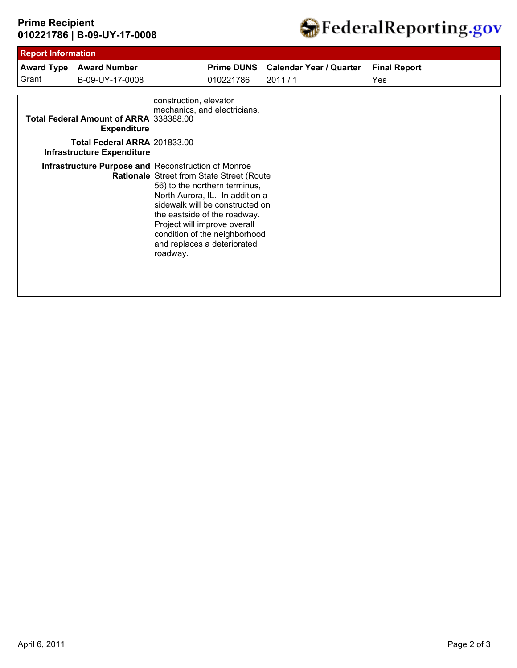# **010221786 | B-09-UY-17-0008 Prime Recipient**



|       | <b>Award Type Award Number</b>                                    |                        |                                                                                                                                                                                                                                                                                  | Prime DUNS Calendar Year / Quarter | <b>Final Report</b> |
|-------|-------------------------------------------------------------------|------------------------|----------------------------------------------------------------------------------------------------------------------------------------------------------------------------------------------------------------------------------------------------------------------------------|------------------------------------|---------------------|
| Grant | B-09-UY-17-0008                                                   |                        | 010221786                                                                                                                                                                                                                                                                        | 2011/1                             | Yes                 |
|       | Total Federal Amount of ARRA 338388.00<br><b>Expenditure</b>      | construction, elevator | mechanics, and electricians.                                                                                                                                                                                                                                                     |                                    |                     |
|       | Total Federal ARRA 201833.00<br><b>Infrastructure Expenditure</b> |                        |                                                                                                                                                                                                                                                                                  |                                    |                     |
|       | <b>Infrastructure Purpose and Reconstruction of Monroe</b>        | roadway.               | Rationale Street from State Street (Route<br>56) to the northern terminus,<br>North Aurora, IL. In addition a<br>sidewalk will be constructed on<br>the eastside of the roadway.<br>Project will improve overall<br>condition of the neighborhood<br>and replaces a deteriorated |                                    |                     |